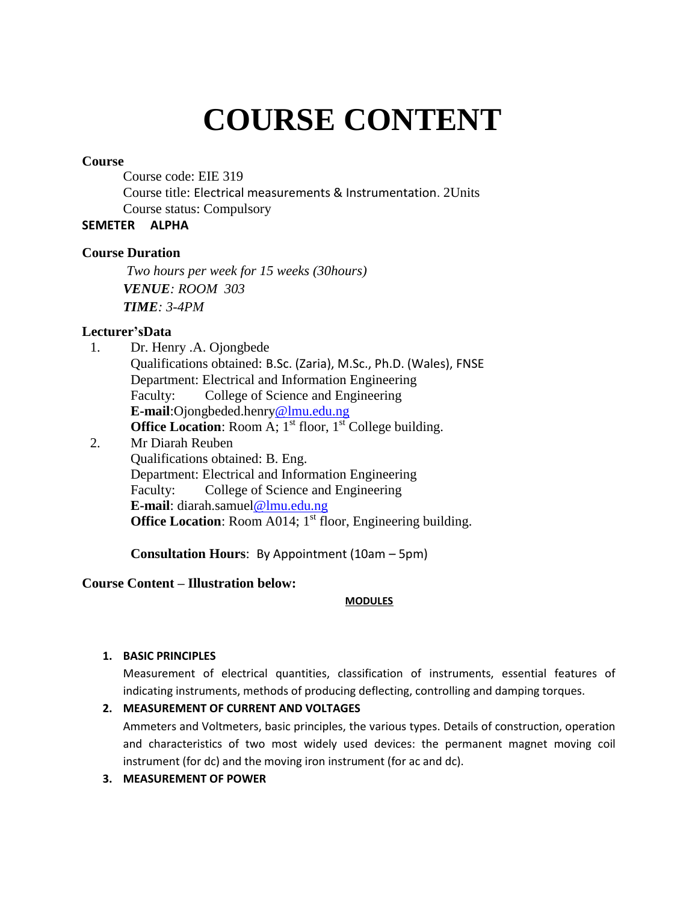# **COURSE CONTENT**

#### **Course**

Course code: EIE 319 Course title: Electrical measurements & Instrumentation. 2Units Course status: Compulsory

# **SEMETER ALPHA**

## **Course Duration**

*Two hours per week for 15 weeks (30hours) VENUE: ROOM 303 TIME: 3-4PM*

# **Lecturer'sData**

1. Dr. Henry .A. Ojongbede Qualifications obtained: B.Sc. (Zaria), M.Sc., Ph.D. (Wales), FNSE Department: Electrical and Information Engineering Faculty: College of Science and Engineering **E-mail**:Ojongbeded.henry@lmu.edu.ng **Office Location:** Room A;  $1<sup>st</sup>$  floor,  $1<sup>st</sup>$  College building. 2. Mr Diarah Reuben Qualifications obtained: B. Eng. Department: Electrical and Information Engineering Faculty: College of Science and Engineering **E-mail**: diarah.samuel@lmu.edu.ng **Office Location:** Room A014;  $1<sup>st</sup>$  floor, Engineering building.

**Consultation Hours**: By Appointment (10am – 5pm)

## **Course Content – Illustration below:**

#### **MODULES**

## **1. BASIC PRINCIPLES**

Measurement of electrical quantities, classification of instruments, essential features of indicating instruments, methods of producing deflecting, controlling and damping torques.

#### **2. MEASUREMENT OF CURRENT AND VOLTAGES**

Ammeters and Voltmeters, basic principles, the various types. Details of construction, operation and characteristics of two most widely used devices: the permanent magnet moving coil instrument (for dc) and the moving iron instrument (for ac and dc).

## **3. MEASUREMENT OF POWER**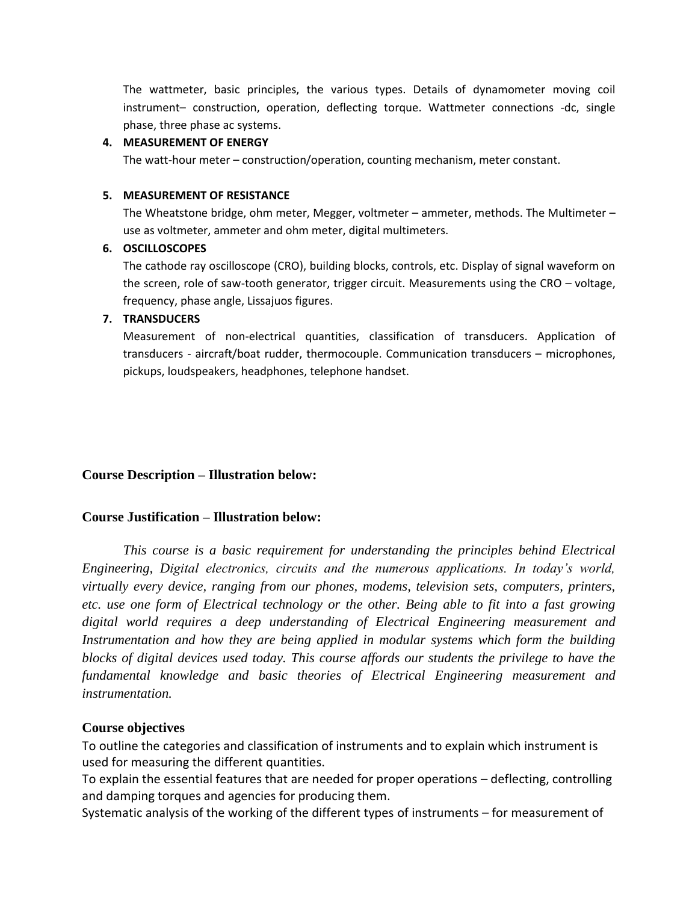The wattmeter, basic principles, the various types. Details of dynamometer moving coil instrument– construction, operation, deflecting torque. Wattmeter connections -dc, single phase, three phase ac systems.

#### **4. MEASUREMENT OF ENERGY**

The watt-hour meter – construction/operation, counting mechanism, meter constant.

#### **5. MEASUREMENT OF RESISTANCE**

The Wheatstone bridge, ohm meter, Megger, voltmeter – ammeter, methods. The Multimeter – use as voltmeter, ammeter and ohm meter, digital multimeters.

### **6. OSCILLOSCOPES**

The cathode ray oscilloscope (CRO), building blocks, controls, etc. Display of signal waveform on the screen, role of saw-tooth generator, trigger circuit. Measurements using the CRO – voltage, frequency, phase angle, Lissajuos figures.

## **7. TRANSDUCERS**

Measurement of non-electrical quantities, classification of transducers. Application of transducers - aircraft/boat rudder, thermocouple. Communication transducers – microphones, pickups, loudspeakers, headphones, telephone handset.

## **Course Description – Illustration below:**

# **Course Justification – Illustration below:**

*This course is a basic requirement for understanding the principles behind Electrical Engineering, Digital electronics, circuits and the numerous applications. In today's world, virtually every device, ranging from our phones, modems, television sets, computers, printers, etc. use one form of Electrical technology or the other. Being able to fit into a fast growing digital world requires a deep understanding of Electrical Engineering measurement and Instrumentation and how they are being applied in modular systems which form the building blocks of digital devices used today. This course affords our students the privilege to have the fundamental knowledge and basic theories of Electrical Engineering measurement and instrumentation.*

## **Course objectives**

To outline the categories and classification of instruments and to explain which instrument is used for measuring the different quantities.

To explain the essential features that are needed for proper operations – deflecting, controlling and damping torques and agencies for producing them.

Systematic analysis of the working of the different types of instruments – for measurement of